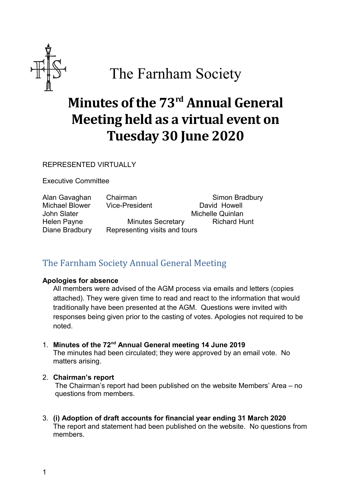

# The Farnham Society

# **Minutes of the 73rd Annual General Meeting held as a virtual event on Tuesday 30 June 2020**

REPRESENTED VIRTUALLY

Executive Committee

Michael Blower Vice-President David Howell John Slater **Michelle Quinlan** 

Alan Gavaghan Chairman Simon Bradbury

Helen Payne **Minutes Secretary** Richard Hunt Diane Bradbury Representing visits and tours

# The Farnham Society Annual General Meeting

#### **Apologies for absence**

All members were advised of the AGM process via emails and letters (copies attached). They were given time to read and react to the information that would traditionally have been presented at the AGM. Questions were invited with responses being given prior to the casting of votes. Apologies not required to be noted.

# 1. **Minutes of the 72nd Annual General meeting 14 June 2019**

The minutes had been circulated; they were approved by an email vote. No matters arising.

# 2. **Chairman's report**

The Chairman's report had been published on the website Members' Area – no questions from members.

3. **(i) Adoption of draft accounts for financial year ending 31 March 2020** The report and statement had been published on the website. No questions from members.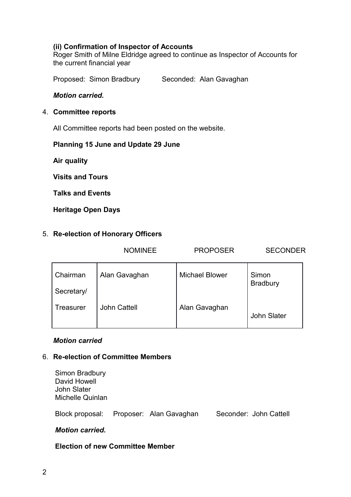# **(ii) Confirmation of Inspector of Accounts**

Roger Smith of Milne Eldridge agreed to continue as Inspector of Accounts for the current financial year

Proposed: Simon Bradbury Seconded: Alan Gavaghan

#### *Motion carried.*

#### 4. **Committee reports**

All Committee reports had been posted on the website.

#### **Planning 15 June and Update 29 June**

**Air quality**

**Visits and Tours**

**Talks and Events**

**Heritage Open Days**

#### 5. **Re-election of Honorary Officers**

|            | <b>NOMINEE</b>      | <b>PROPOSER</b>       | <b>SECONDER</b>          |
|------------|---------------------|-----------------------|--------------------------|
| Chairman   | Alan Gavaghan       | <b>Michael Blower</b> | Simon<br><b>Bradbury</b> |
| Secretary/ |                     |                       |                          |
| Treasurer  | <b>John Cattell</b> | Alan Gavaghan         | <b>John Slater</b>       |

# *Motion carried*

#### 6. **Re-election of Committee Members**

| Simon Bradbury     |  |
|--------------------|--|
| David Howell       |  |
| <b>John Slater</b> |  |
| Michelle Quinlan   |  |
|                    |  |

Block proposal: Proposer: Alan Gavaghan Seconder: John Cattell

# *Motion carried.*

#### **Election of new Committee Member**